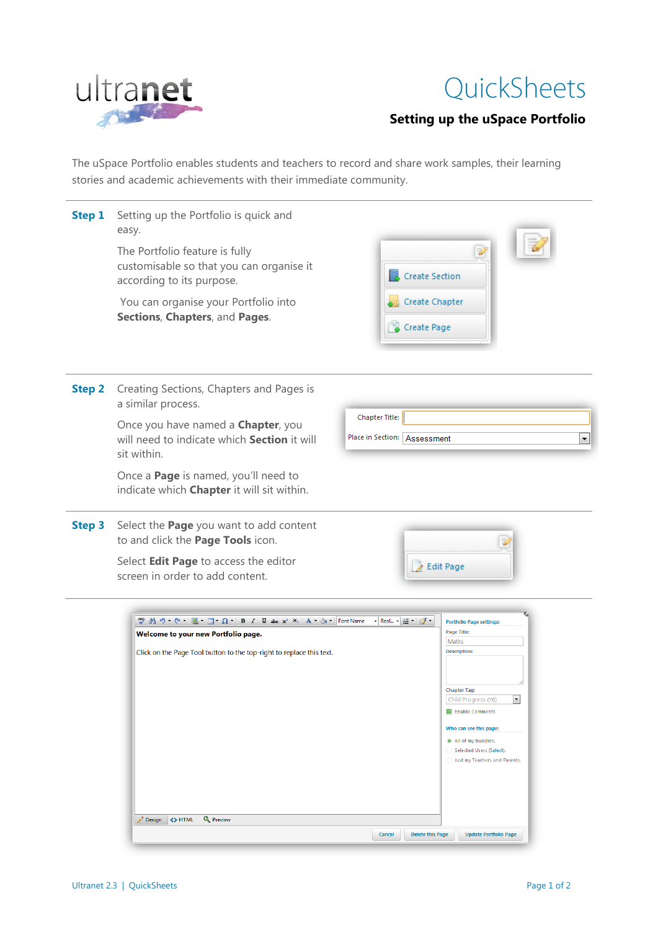

## QuickSheets

## **Setting up the uSpace Portfolio**

The uSpace Portfolio enables students and teachers to record and share work samples, their learning stories and academic achievements with their immediate community.

| Step 1        | Setting up the Portfolio is quick and<br>easy.<br>The Portfolio feature is fully<br>customisable so that you can organise it<br>according to its purpose.<br>You can organise your Portfolio into<br>Sections, Chapters, and Pages.                                     | Ù<br><b>Create Section</b><br>Create Chapter<br>Create Page                                                                                                                                                                                                                           |
|---------------|-------------------------------------------------------------------------------------------------------------------------------------------------------------------------------------------------------------------------------------------------------------------------|---------------------------------------------------------------------------------------------------------------------------------------------------------------------------------------------------------------------------------------------------------------------------------------|
| <b>Step 2</b> | Creating Sections, Chapters and Pages is<br>a similar process.<br>Once you have named a <b>Chapter</b> , you<br>will need to indicate which Section it will<br>sit within.<br>Once a Page is named, you'll need to<br>indicate which <b>Chapter</b> it will sit within. | Chapter Title:<br>Place in Section:   Assessment<br>۰                                                                                                                                                                                                                                 |
| <b>Step 3</b> | Select the Page you want to add content<br>to and click the Page Tools icon.<br>Select Edit Page to access the editor<br>screen in order to add content.                                                                                                                | 7<br>R Edit Page                                                                                                                                                                                                                                                                      |
|               | Welcome to your new Portfolio page.<br>Click on the Page Tool button to the top-right to replace this text.                                                                                                                                                             | ▼ Real ▼ 图 ▼ 图<br><b>Portfolio Page settings:</b><br><b>Page Title:</b><br>Maths<br><b>Description:</b><br><b>Chapter Tag:</b><br>Child Progress (Y6)<br>Enable Comments<br>Who can see this page:<br>All of my buddies.<br>Selected Users (Select).<br>Just my Teachers and Parents. |

Design <>>HTML Q Preview

Cancel Delete this Page Update Portfolio Page